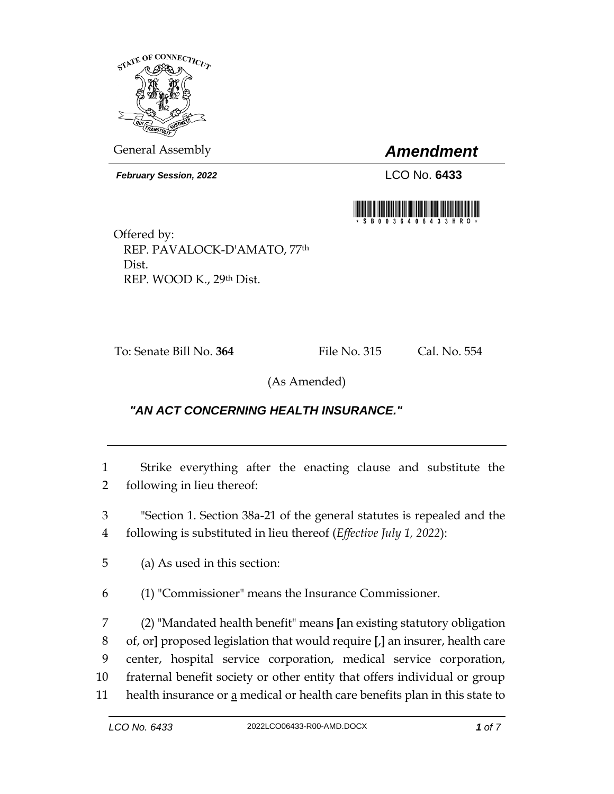

General Assembly *Amendment*

*February Session, 2022* LCO No. **6433**



Offered by: REP. PAVALOCK-D'AMATO, 77th Dist. REP. WOOD K., 29th Dist.

To: Senate Bill No. **364** File No. 315 Cal. No. 554

(As Amended)

## *"AN ACT CONCERNING HEALTH INSURANCE."*

1 Strike everything after the enacting clause and substitute the 2 following in lieu thereof:

3 "Section 1. Section 38a-21 of the general statutes is repealed and the 4 following is substituted in lieu thereof (*Effective July 1, 2022*):

5 (a) As used in this section:

6 (1) "Commissioner" means the Insurance Commissioner.

 (2) "Mandated health benefit" means **[**an existing statutory obligation of, or**]** proposed legislation that would require **[**,**]** an insurer, health care center, hospital service corporation, medical service corporation, fraternal benefit society or other entity that offers individual or group 11 health insurance or  $\underline{a}$  medical or health care benefits plan in this state to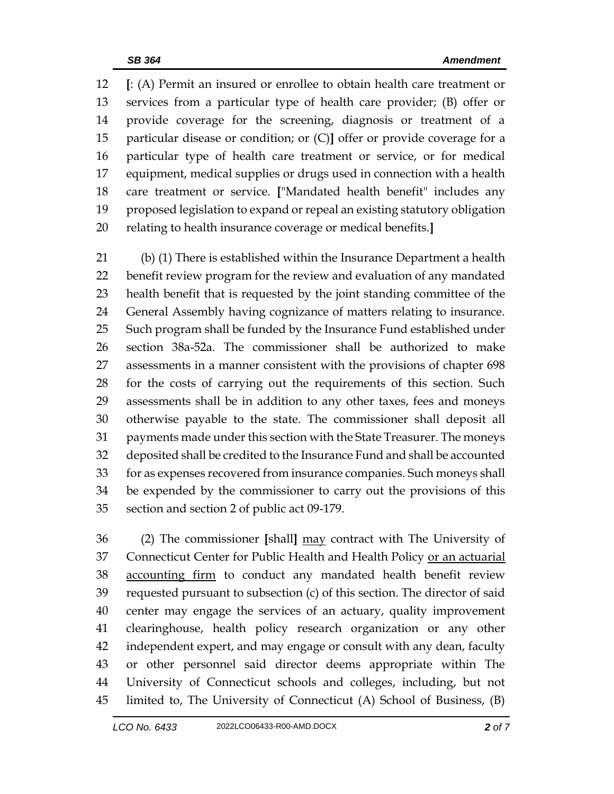**[**: (A) Permit an insured or enrollee to obtain health care treatment or services from a particular type of health care provider; (B) offer or provide coverage for the screening, diagnosis or treatment of a particular disease or condition; or (C)**]** offer or provide coverage for a particular type of health care treatment or service, or for medical equipment, medical supplies or drugs used in connection with a health care treatment or service. **[**"Mandated health benefit" includes any proposed legislation to expand or repeal an existing statutory obligation relating to health insurance coverage or medical benefits.**]**

 (b) (1) There is established within the Insurance Department a health benefit review program for the review and evaluation of any mandated health benefit that is requested by the joint standing committee of the General Assembly having cognizance of matters relating to insurance. Such program shall be funded by the Insurance Fund established under section 38a-52a. The commissioner shall be authorized to make assessments in a manner consistent with the provisions of chapter 698 for the costs of carrying out the requirements of this section. Such assessments shall be in addition to any other taxes, fees and moneys otherwise payable to the state. The commissioner shall deposit all payments made under this section with the State Treasurer. The moneys deposited shall be credited to the Insurance Fund and shall be accounted for as expenses recovered from insurance companies. Such moneys shall be expended by the commissioner to carry out the provisions of this section and section 2 of public act 09-179.

 (2) The commissioner **[**shall**]** may contract with The University of Connecticut Center for Public Health and Health Policy or an actuarial accounting firm to conduct any mandated health benefit review requested pursuant to subsection (c) of this section. The director of said center may engage the services of an actuary, quality improvement clearinghouse, health policy research organization or any other independent expert, and may engage or consult with any dean, faculty or other personnel said director deems appropriate within The University of Connecticut schools and colleges, including, but not limited to, The University of Connecticut (A) School of Business, (B)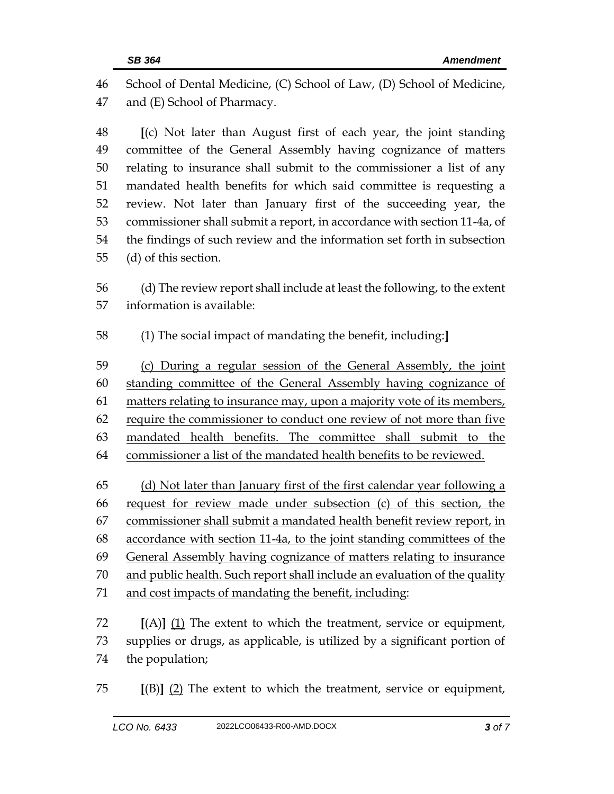School of Dental Medicine, (C) School of Law, (D) School of Medicine, and (E) School of Pharmacy.

 **[**(c) Not later than August first of each year, the joint standing committee of the General Assembly having cognizance of matters relating to insurance shall submit to the commissioner a list of any mandated health benefits for which said committee is requesting a review. Not later than January first of the succeeding year, the commissioner shall submit a report, in accordance with section 11-4a, of the findings of such review and the information set forth in subsection (d) of this section.

 (d) The review report shall include at least the following, to the extent information is available:

(1) The social impact of mandating the benefit, including:**]**

 (c) During a regular session of the General Assembly, the joint standing committee of the General Assembly having cognizance of 61 matters relating to insurance may, upon a majority vote of its members, require the commissioner to conduct one review of not more than five mandated health benefits. The committee shall submit to the commissioner a list of the mandated health benefits to be reviewed.

 (d) Not later than January first of the first calendar year following a request for review made under subsection (c) of this section, the commissioner shall submit a mandated health benefit review report, in accordance with section 11-4a, to the joint standing committees of the General Assembly having cognizance of matters relating to insurance and public health. Such report shall include an evaluation of the quality and cost impacts of mandating the benefit, including:

 **[**(A)**]** (1) The extent to which the treatment, service or equipment, supplies or drugs, as applicable, is utilized by a significant portion of the population;

**[**(B)**]** (2) The extent to which the treatment, service or equipment,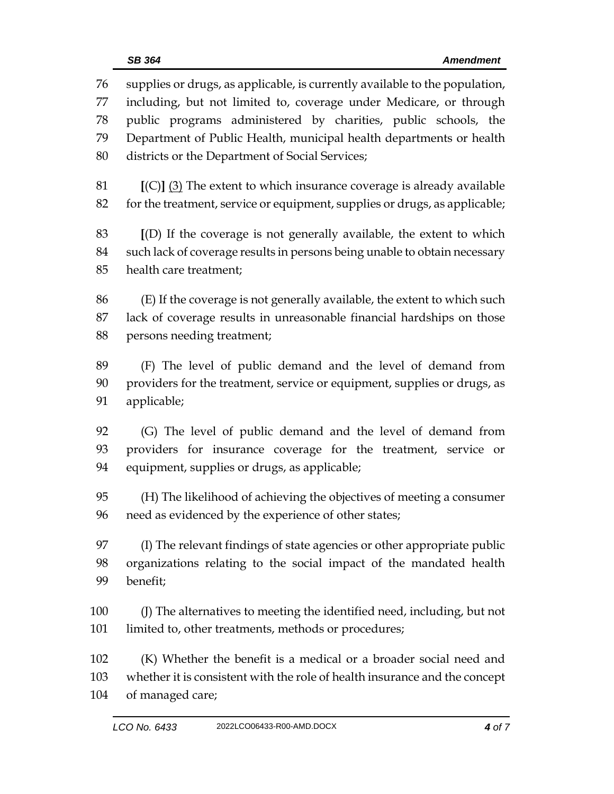*LCO No. 6433* 2022LCO06433-R00-AMD.DOCX *4 of 7* including, but not limited to, coverage under Medicare, or through public programs administered by charities, public schools, the Department of Public Health, municipal health departments or health districts or the Department of Social Services; **[**(C)**]** (3) The extent to which insurance coverage is already available for the treatment, service or equipment, supplies or drugs, as applicable; **[**(D) If the coverage is not generally available, the extent to which such lack of coverage results in persons being unable to obtain necessary health care treatment; (E) If the coverage is not generally available, the extent to which such lack of coverage results in unreasonable financial hardships on those persons needing treatment; (F) The level of public demand and the level of demand from providers for the treatment, service or equipment, supplies or drugs, as applicable; (G) The level of public demand and the level of demand from providers for insurance coverage for the treatment, service or equipment, supplies or drugs, as applicable; (H) The likelihood of achieving the objectives of meeting a consumer need as evidenced by the experience of other states; (I) The relevant findings of state agencies or other appropriate public organizations relating to the social impact of the mandated health benefit; (J) The alternatives to meeting the identified need, including, but not limited to, other treatments, methods or procedures; (K) Whether the benefit is a medical or a broader social need and whether it is consistent with the role of health insurance and the concept of managed care;

supplies or drugs, as applicable, is currently available to the population,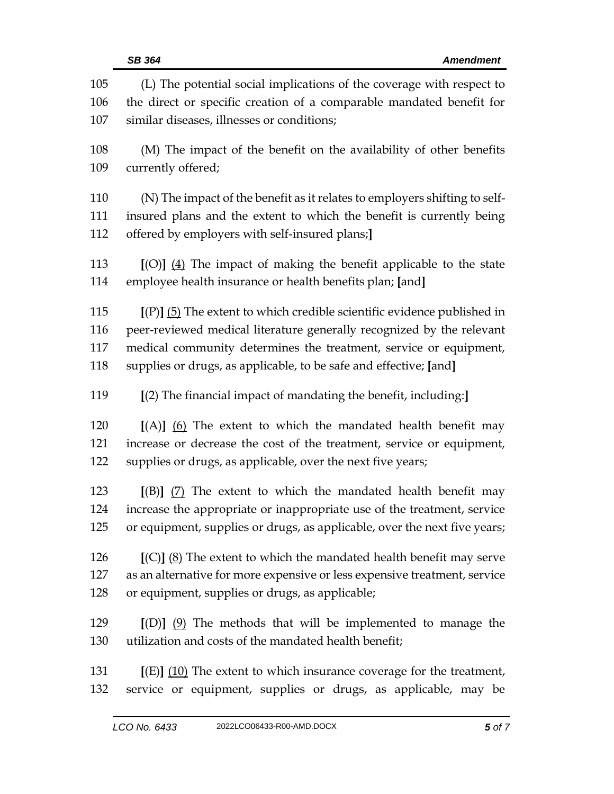|            | <b>SB 364</b><br><b>Amendment</b>                                                                                                             |
|------------|-----------------------------------------------------------------------------------------------------------------------------------------------|
| 105<br>106 | (L) The potential social implications of the coverage with respect to<br>the direct or specific creation of a comparable mandated benefit for |
| 107        | similar diseases, illnesses or conditions;                                                                                                    |
| 108<br>109 | (M) The impact of the benefit on the availability of other benefits<br>currently offered;                                                     |
|            |                                                                                                                                               |
| 110        | (N) The impact of the benefit as it relates to employers shifting to self-                                                                    |
| 111        | insured plans and the extent to which the benefit is currently being                                                                          |
| 112        | offered by employers with self-insured plans;]                                                                                                |
| 113        | $[(O)]$ $(4)$ The impact of making the benefit applicable to the state                                                                        |
| 114        | employee health insurance or health benefits plan; [and]                                                                                      |
| 115        | $[(P)]$ (5) The extent to which credible scientific evidence published in                                                                     |
| 116        | peer-reviewed medical literature generally recognized by the relevant                                                                         |
| 117        | medical community determines the treatment, service or equipment,                                                                             |
| 118        | supplies or drugs, as applicable, to be safe and effective; [and]                                                                             |
| 119        | $[(2)$ The financial impact of mandating the benefit, including:                                                                              |
| 120        | $[(A)]$ (6) The extent to which the mandated health benefit may                                                                               |
| 121        | increase or decrease the cost of the treatment, service or equipment,                                                                         |
| 122        | supplies or drugs, as applicable, over the next five years;                                                                                   |
| 123        | $[(B)]$ (7) The extent to which the mandated health benefit may                                                                               |
| 124        | increase the appropriate or inappropriate use of the treatment, service                                                                       |
| 125        | or equipment, supplies or drugs, as applicable, over the next five years;                                                                     |
| 126        | $[(C)]$ $(8)$ The extent to which the mandated health benefit may serve                                                                       |
| 127        | as an alternative for more expensive or less expensive treatment, service                                                                     |
| 128        | or equipment, supplies or drugs, as applicable;                                                                                               |
| 129        | $[(D)]$ $(9)$ The methods that will be implemented to manage the                                                                              |
| 130        | utilization and costs of the mandated health benefit;                                                                                         |
| 131        | $[(E)]$ (10) The extent to which insurance coverage for the treatment,                                                                        |
| 132        | service or equipment, supplies or drugs, as applicable, may be                                                                                |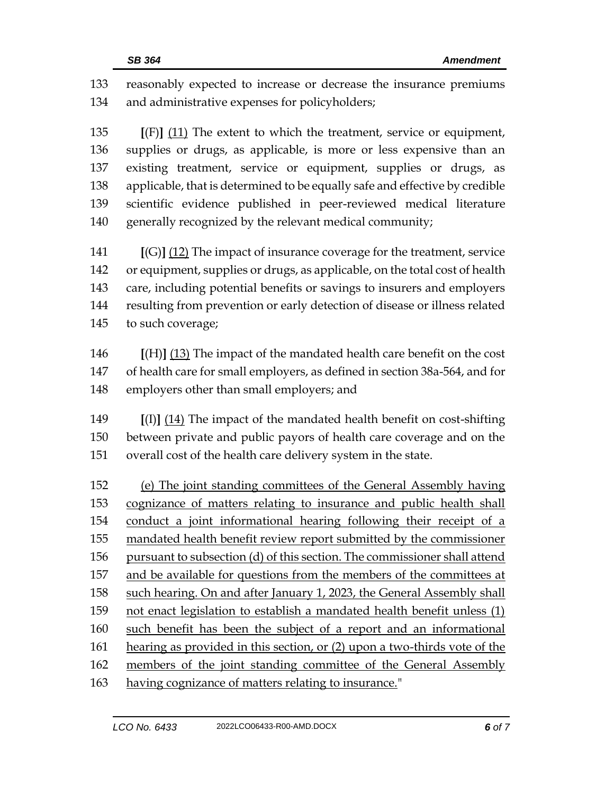reasonably expected to increase or decrease the insurance premiums and administrative expenses for policyholders;

 **[**(F)**]** (11) The extent to which the treatment, service or equipment, supplies or drugs, as applicable, is more or less expensive than an existing treatment, service or equipment, supplies or drugs, as applicable, that is determined to be equally safe and effective by credible scientific evidence published in peer-reviewed medical literature generally recognized by the relevant medical community;

 **[**(G)**]** (12) The impact of insurance coverage for the treatment, service or equipment, supplies or drugs, as applicable, on the total cost of health care, including potential benefits or savings to insurers and employers resulting from prevention or early detection of disease or illness related to such coverage;

 **[**(H)**]** (13) The impact of the mandated health care benefit on the cost of health care for small employers, as defined in section 38a-564, and for employers other than small employers; and

 **[**(I)**]** (14) The impact of the mandated health benefit on cost-shifting between private and public payors of health care coverage and on the overall cost of the health care delivery system in the state.

 (e) The joint standing committees of the General Assembly having cognizance of matters relating to insurance and public health shall conduct a joint informational hearing following their receipt of a mandated health benefit review report submitted by the commissioner pursuant to subsection (d) of this section. The commissioner shall attend and be available for questions from the members of the committees at such hearing. On and after January 1, 2023, the General Assembly shall not enact legislation to establish a mandated health benefit unless (1) such benefit has been the subject of a report and an informational hearing as provided in this section, or (2) upon a two-thirds vote of the members of the joint standing committee of the General Assembly having cognizance of matters relating to insurance."